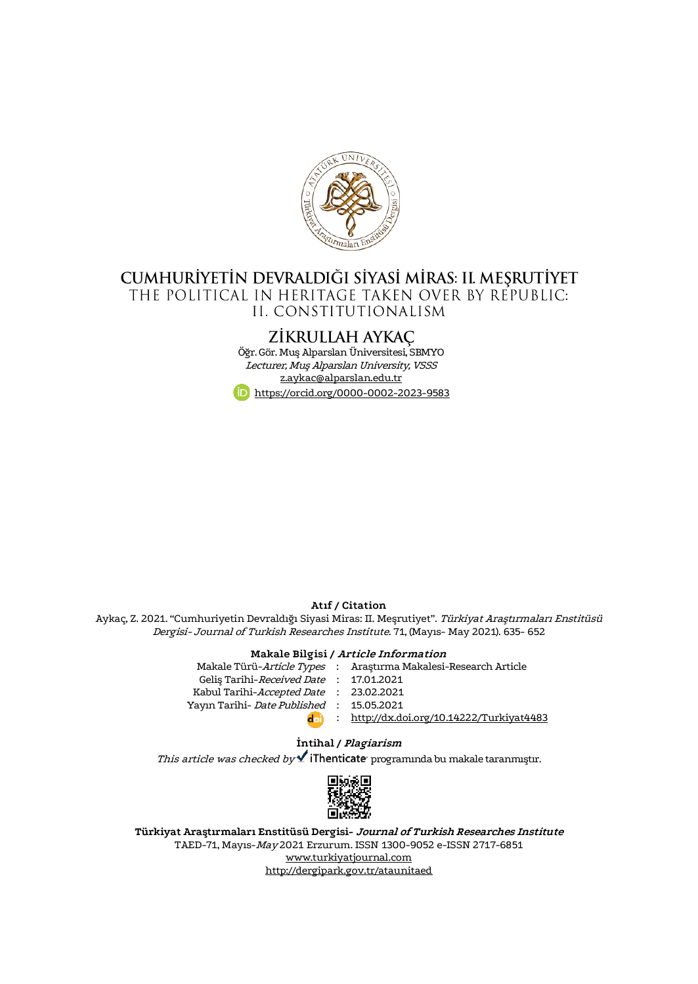

## CUMHURİYETİN DEVRALDIĞI SİYASİ MİRAS: II. MEŞRUTİYET THE POLITICAL IN HERITAGE TAKEN OVER BY REPUBLIC: II. CONSTITUTIONALISM

# ZİKRULLAH AYKAÇ

Öğr. Gör. Muş Alparslan Üniversitesi, SBMYO Lecturer, Muş Alparslan University, VSSS [z.aykac@alparslan.edu.tr](mailto:z.aykac@alparslan.edu.tr) <https://orcid.org/0000-0002-2023-9583>

#### **Atıf / Citation**

Aykaç, Z. 2021. "Cumhuriyetin Devraldığı Siyasi Miras: II. Meşrutiyet". Türkiyat Araştırmaları Enstitüsü Dergisi- Journal of Turkish Researches Institute. 71, (Mayıs- May 2021). 635- 652

#### **Makale Bilgisi / Article Information**

Makale Türü-*Article Types* : Araştırma Makalesi-Research Article Geliş Tarihi-*Received Date* : 17.01.2021 Kabul Tarihi-*Accepted Date* : 23.02.2021 Yayın Tarihi- *Date Published* : 15.05.2021 : <http://dx.doi.org/10.14222/Turkiyat4483>

### **İntihal / Plagiarism** This article was checked by  $\blacktriangle$  iThenticate programinda bu makale taranmıştır.



**Türkiyat Araştırmaları Enstitüsü Dergisi- Journal of Turkish Researches Institute** TAED-71, Mayıs-May 2021 Erzurum. ISSN 1300-9052 e-ISSN 2717-6851 [www.turkiyatjournal.com](http://www.turkiyatjournal.com/) <http://dergipark.gov.tr/ataunitaed>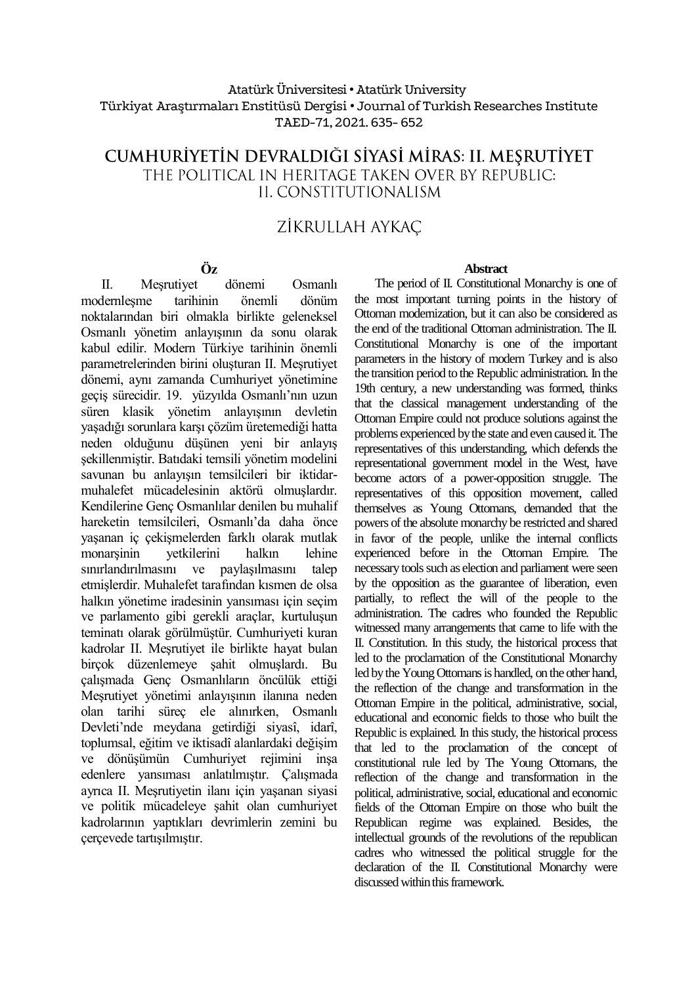### Atatürk Üniversitesi• Atatürk University Türkiyat Araştırmaları Enstitüsü Dergisi • Journal of Turkish Researches Institute TAED-71, 2021.635- 652

## CUMHURİYETİN DEVRALDIĞI SİYASİ MİRAS: II. MEŞRUTİYET THE POLITICAL IN HERITAGE TAKEN OVER BY REPUBLIC: IL CONSTITUTIONALISM

# ZİKRULLAH AYKAC

### **Öz**

II. Meşrutiyet dönemi Osmanlı modernleşme tarihinin önemli dönüm noktalarından biri olmakla birlikte geleneksel Osmanlı yönetim anlayışının da sonu olarak kabul edilir. Modern Türkiye tarihinin önemli parametrelerinden birini oluşturan II. Meşrutiyet dönemi, aynı zamanda Cumhuriyet yönetimine geçiş sürecidir. 19. yüzyılda Osmanlı'nın uzun süren klasik yönetim anlayışının devletin yaşadığı sorunlara karşı çözüm üretemediği hatta neden olduğunu düşünen yeni bir anlayış şekillenmiştir. Batıdaki temsili yönetim modelini savunan bu anlayışın temsilcileri bir iktidarmuhalefet mücadelesinin aktörü olmuşlardır. Kendilerine Genç Osmanlılar denilen bu muhalif hareketin temsilcileri, Osmanlı'da daha önce yaşanan iç çekişmelerden farklı olarak mutlak monarşinin yetkilerini halkın lehine sınırlandırılmasını ve paylaşılmasını talep etmişlerdir. Muhalefet tarafından kısmen de olsa halkın yönetime iradesinin yansıması için seçim ve parlamento gibi gerekli araçlar, kurtuluşun teminatı olarak görülmüştür. Cumhuriyeti kuran kadrolar II. Meşrutiyet ile birlikte hayat bulan birçok düzenlemeye şahit olmuşlardı. Bu çalışmada Genç Osmanlıların öncülük ettiği Meşrutiyet yönetimi anlayışının ilanına neden olan tarihi süreç ele alınırken, Osmanlı Devleti'nde meydana getirdiği siyasî, idarî, toplumsal, eğitim ve iktisadî alanlardaki değişim ve dönüşümün Cumhuriyet rejimini inşa edenlere yansıması anlatılmıştır. Çalışmada ayrıca II. Meşrutiyetin ilanı için yaşanan siyasi ve politik mücadeleye şahit olan cumhuriyet kadrolarının yaptıkları devrimlerin zemini bu çerçevede tartışılmıştır.

#### **Abstract**

The period of II. Constitutional Monarchy is one of the most important turning points in the history of Ottoman modernization, but it can also be considered as the end of the traditional Ottoman administration. The II. Constitutional Monarchy is one of the important parameters in the history of modern Turkey and is also the transition period to the Republic administration. In the 19th century, a new understanding was formed, thinks that the classical management understanding of the Ottoman Empire could not produce solutions against the problems experienced by the state and even caused it. The representatives of this understanding, which defends the representational government model in the West, have become actors of a power-opposition struggle. The representatives of this opposition movement, called themselves as Young Ottomans, demanded that the powers of the absolute monarchy be restricted and shared in favor of the people, unlike the internal conflicts experienced before in the Ottoman Empire. The necessary tools such as election and parliament were seen by the opposition as the guarantee of liberation, even partially, to reflect the will of the people to the administration. The cadres who founded the Republic witnessed many arrangements that came to life with the II. Constitution. In this study, the historical process that led to the proclamation of the Constitutional Monarchy led by the Young Ottomans is handled, on the other hand, the reflection of the change and transformation in the Ottoman Empire in the political, administrative, social, educational and economic fields to those who built the Republic is explained. In this study, the historical process that led to the proclamation of the concept of constitutional rule led by The Young Ottomans, the reflection of the change and transformation in the political, administrative, social, educational and economic fields of the Ottoman Empire on those who built the Republican regime was explained. Besides, the intellectual grounds of the revolutions of the republican cadres who witnessed the political struggle for the declaration of the II. Constitutional Monarchy were discussed within this framework.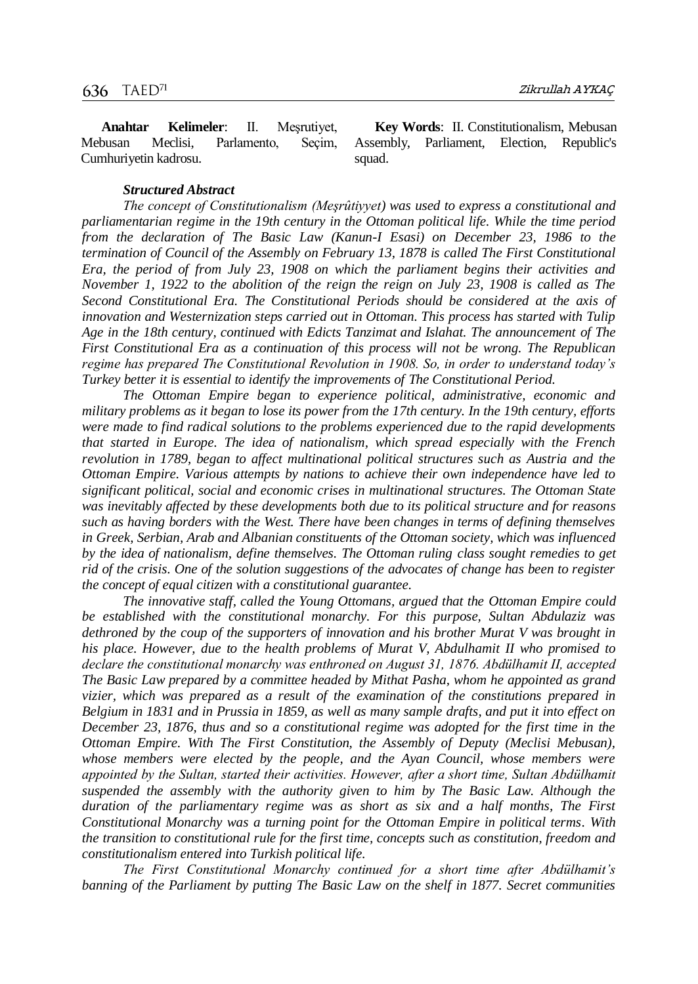**Anahtar Kelimeler**: II. Meşrutiyet, Mebusan Meclisi, Parlamento, Seçim, Cumhuriyetin kadrosu.

**Key Words**: II. Constitutionalism, Mebusan Assembly, Parliament, Election, Republic's squad.

#### *Structured Abstract*

*The concept of Constitutionalism (Meşrûtiyyet) was used to express a constitutional and parliamentarian regime in the 19th century in the Ottoman political life. While the time period from the declaration of The Basic Law (Kanun-I Esasi) on December 23, 1986 to the termination of Council of the Assembly on February 13, 1878 is called The First Constitutional Era, the period of from July 23, 1908 on which the parliament begins their activities and November 1, 1922 to the abolition of the reign the reign on July 23, 1908 is called as The Second Constitutional Era. The Constitutional Periods should be considered at the axis of innovation and Westernization steps carried out in Ottoman. This process has started with Tulip Age in the 18th century, continued with Edicts Tanzimat and Islahat. The announcement of The First Constitutional Era as a continuation of this process will not be wrong. The Republican regime has prepared The Constitutional Revolution in 1908. So, in order to understand today's Turkey better it is essential to identify the improvements of The Constitutional Period.*

*The Ottoman Empire began to experience political, administrative, economic and military problems as it began to lose its power from the 17th century. In the 19th century, efforts were made to find radical solutions to the problems experienced due to the rapid developments that started in Europe. The idea of nationalism, which spread especially with the French revolution in 1789, began to affect multinational political structures such as Austria and the Ottoman Empire. Various attempts by nations to achieve their own independence have led to significant political, social and economic crises in multinational structures. The Ottoman State was inevitably affected by these developments both due to its political structure and for reasons such as having borders with the West. There have been changes in terms of defining themselves in Greek, Serbian, Arab and Albanian constituents of the Ottoman society, which was influenced by the idea of nationalism, define themselves. The Ottoman ruling class sought remedies to get rid of the crisis. One of the solution suggestions of the advocates of change has been to register the concept of equal citizen with a constitutional guarantee.*

*The innovative staff, called the Young Ottomans, argued that the Ottoman Empire could be established with the constitutional monarchy. For this purpose, Sultan Abdulaziz was dethroned by the coup of the supporters of innovation and his brother Murat V was brought in his place. However, due to the health problems of Murat V, Abdulhamit II who promised to declare the constitutional monarchy was enthroned on August 31, 1876. Abdülhamit II, accepted The Basic Law prepared by a committee headed by Mithat Pasha, whom he appointed as grand vizier, which was prepared as a result of the examination of the constitutions prepared in Belgium in 1831 and in Prussia in 1859, as well as many sample drafts, and put it into effect on December 23, 1876, thus and so a constitutional regime was adopted for the first time in the Ottoman Empire. With The First Constitution, the Assembly of Deputy (Meclisi Mebusan), whose members were elected by the people, and the Ayan Council, whose members were appointed by the Sultan, started their activities. However, after a short time, Sultan Abdülhamit suspended the assembly with the authority given to him by The Basic Law. Although the duration of the parliamentary regime was as short as six and a half months, The First Constitutional Monarchy was a turning point for the Ottoman Empire in political terms. With the transition to constitutional rule for the first time, concepts such as constitution, freedom and constitutionalism entered into Turkish political life.*

*The First Constitutional Monarchy continued for a short time after Abdülhamit's banning of the Parliament by putting The Basic Law on the shelf in 1877. Secret communities*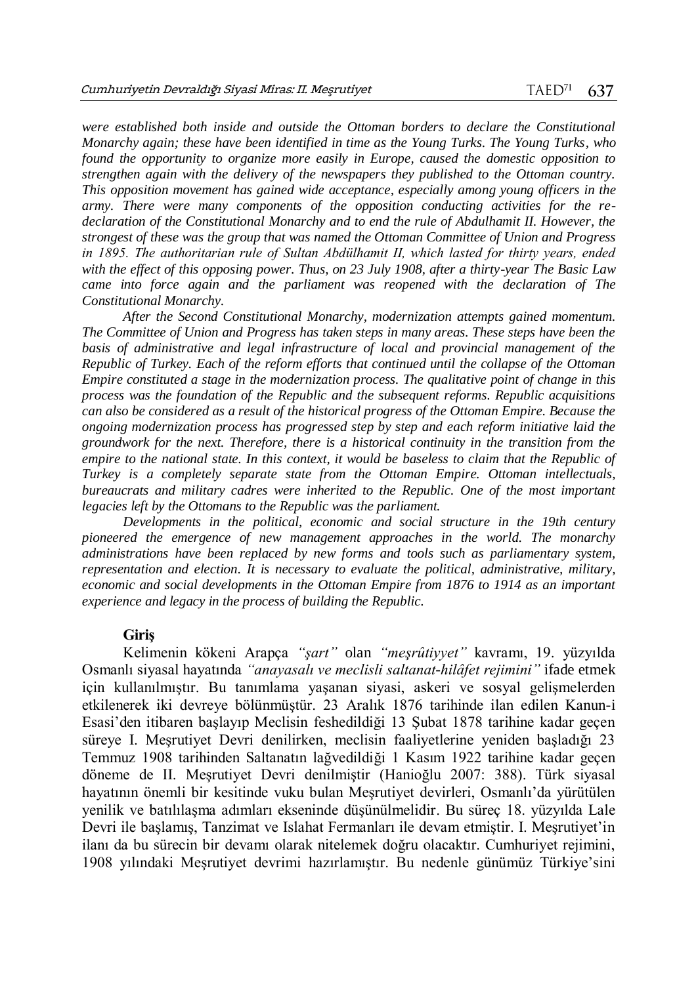*were established both inside and outside the Ottoman borders to declare the Constitutional Monarchy again; these have been identified in time as the Young Turks. The Young Turks, who found the opportunity to organize more easily in Europe, caused the domestic opposition to strengthen again with the delivery of the newspapers they published to the Ottoman country. This opposition movement has gained wide acceptance, especially among young officers in the army. There were many components of the opposition conducting activities for the redeclaration of the Constitutional Monarchy and to end the rule of Abdulhamit II. However, the strongest of these was the group that was named the Ottoman Committee of Union and Progress in 1895. The authoritarian rule of Sultan Abdülhamit II, which lasted for thirty years, ended with the effect of this opposing power. Thus, on 23 July 1908, after a thirty-year The Basic Law came into force again and the parliament was reopened with the declaration of The Constitutional Monarchy.*

*After the Second Constitutional Monarchy, modernization attempts gained momentum. The Committee of Union and Progress has taken steps in many areas. These steps have been the*  basis of administrative and legal infrastructure of local and provincial management of the *Republic of Turkey. Each of the reform efforts that continued until the collapse of the Ottoman Empire constituted a stage in the modernization process. The qualitative point of change in this process was the foundation of the Republic and the subsequent reforms. Republic acquisitions can also be considered as a result of the historical progress of the Ottoman Empire. Because the ongoing modernization process has progressed step by step and each reform initiative laid the groundwork for the next. Therefore, there is a historical continuity in the transition from the empire to the national state. In this context, it would be baseless to claim that the Republic of Turkey is a completely separate state from the Ottoman Empire. Ottoman intellectuals, bureaucrats and military cadres were inherited to the Republic. One of the most important legacies left by the Ottomans to the Republic was the parliament.*

*Developments in the political, economic and social structure in the 19th century pioneered the emergence of new management approaches in the world. The monarchy administrations have been replaced by new forms and tools such as parliamentary system, representation and election. It is necessary to evaluate the political, administrative, military, economic and social developments in the Ottoman Empire from 1876 to 1914 as an important experience and legacy in the process of building the Republic.*

#### **Giriş**

Kelimenin kökeni Arapça *"şart"* olan *"meşrûtiyyet"* kavramı, 19. yüzyılda Osmanlı siyasal hayatında *"anayasalı ve meclisli saltanat-hilâfet rejimini"* ifade etmek için kullanılmıştır. Bu tanımlama yaşanan siyasi, askeri ve sosyal gelişmelerden etkilenerek iki devreye bölünmüştür. 23 Aralık 1876 tarihinde ilan edilen Kanun-i Esasi'den itibaren başlayıp Meclisin feshedildiği 13 Şubat 1878 tarihine kadar geçen süreye I. Meşrutiyet Devri denilirken, meclisin faaliyetlerine yeniden başladığı 23 Temmuz 1908 tarihinden Saltanatın lağvedildiği 1 Kasım 1922 tarihine kadar geçen döneme de II. Meşrutiyet Devri denilmiştir (Hanioğlu 2007: 388). Türk siyasal hayatının önemli bir kesitinde vuku bulan Meşrutiyet devirleri, Osmanlı'da yürütülen yenilik ve batılılaşma adımları ekseninde düşünülmelidir. Bu süreç 18. yüzyılda Lale Devri ile başlamış, Tanzimat ve Islahat Fermanları ile devam etmiştir. I. Meşrutiyet'in ilanı da bu sürecin bir devamı olarak nitelemek doğru olacaktır. Cumhuriyet rejimini, 1908 yılındaki Meşrutiyet devrimi hazırlamıştır. Bu nedenle günümüz Türkiye'sini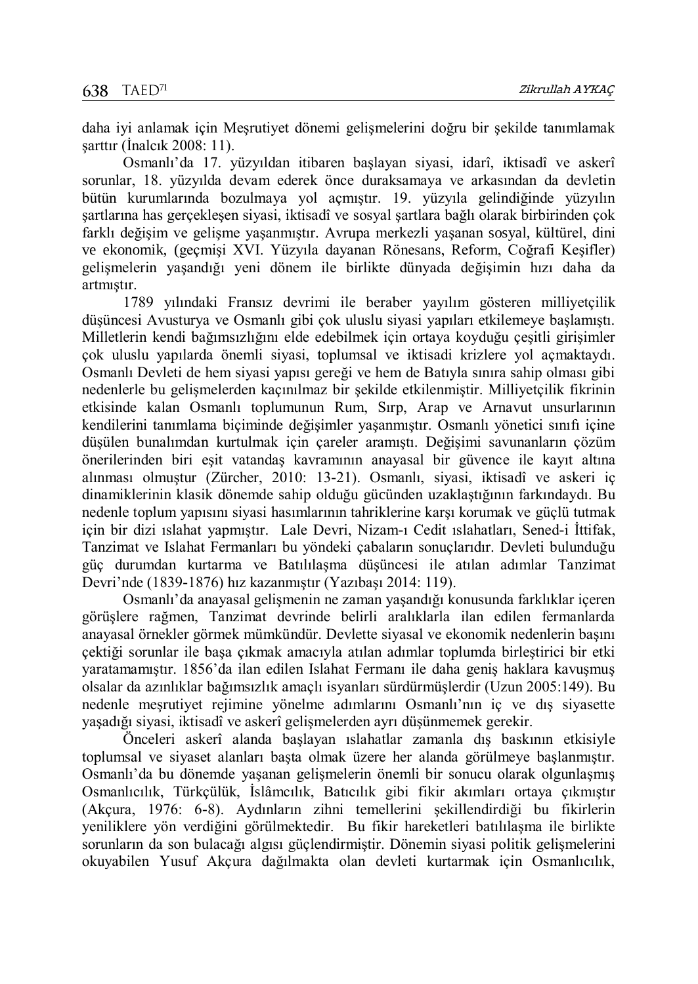daha iyi anlamak için Meşrutiyet dönemi gelişmelerini doğru bir şekilde tanımlamak şarttır (İnalcık 2008: 11).

Osmanlı'da 17. yüzyıldan itibaren başlayan siyasi, idarî, iktisadî ve askerî sorunlar, 18. yüzyılda devam ederek önce duraksamaya ve arkasından da devletin bütün kurumlarında bozulmaya yol açmıştır. 19. yüzyıla gelindiğinde yüzyılın şartlarına has gerçekleşen siyasi, iktisadî ve sosyal şartlara bağlı olarak birbirinden çok farklı değişim ve gelişme yaşanmıştır. Avrupa merkezli yaşanan sosyal, kültürel, dini ve ekonomik, (geçmişi XVI. Yüzyıla dayanan Rönesans, Reform, Coğrafi Keşifler) gelişmelerin yaşandığı yeni dönem ile birlikte dünyada değişimin hızı daha da artmıştır.

1789 yılındaki Fransız devrimi ile beraber yayılım gösteren milliyetçilik düşüncesi Avusturya ve Osmanlı gibi çok uluslu siyasi yapıları etkilemeye başlamıştı. Milletlerin kendi bağımsızlığını elde edebilmek için ortaya koyduğu çeşitli girişimler çok uluslu yapılarda önemli siyasi, toplumsal ve iktisadi krizlere yol açmaktaydı. Osmanlı Devleti de hem siyasi yapısı gereği ve hem de Batıyla sınıra sahip olması gibi nedenlerle bu gelişmelerden kaçınılmaz bir şekilde etkilenmiştir. Milliyetçilik fikrinin etkisinde kalan Osmanlı toplumunun Rum, Sırp, Arap ve Arnavut unsurlarının kendilerini tanımlama biçiminde değişimler yaşanmıştır. Osmanlı yönetici sınıfı içine düşülen bunalımdan kurtulmak için çareler aramıştı. Değişimi savunanların çözüm önerilerinden biri eşit vatandaş kavramının anayasal bir güvence ile kayıt altına alınması olmuştur (Zürcher, 2010: 13-21). Osmanlı, siyasi, iktisadî ve askeri iç dinamiklerinin klasik dönemde sahip olduğu gücünden uzaklaştığının farkındaydı. Bu nedenle toplum yapısını siyasi hasımlarının tahriklerine karşı korumak ve güçlü tutmak için bir dizi ıslahat yapmıştır. Lale Devri, Nizam-ı Cedit ıslahatları, Sened-i İttifak, Tanzimat ve Islahat Fermanları bu yöndeki çabaların sonuçlarıdır. Devleti bulunduğu güç durumdan kurtarma ve Batılılaşma düşüncesi ile atılan adımlar Tanzimat Devri'nde (1839-1876) hız kazanmıştır (Yazıbaşı 2014: 119).

Osmanlı'da anayasal gelişmenin ne zaman yaşandığı konusunda farklıklar içeren görüşlere rağmen, Tanzimat devrinde belirli aralıklarla ilan edilen fermanlarda anayasal örnekler görmek mümkündür. Devlette siyasal ve ekonomik nedenlerin başını çektiği sorunlar ile başa çıkmak amacıyla atılan adımlar toplumda birleştirici bir etki yaratamamıştır. 1856'da ilan edilen Islahat Fermanı ile daha geniş haklara kavuşmuş olsalar da azınlıklar bağımsızlık amaçlı isyanları sürdürmüşlerdir (Uzun 2005:149). Bu nedenle meşrutiyet rejimine yönelme adımlarını Osmanlı'nın iç ve dış siyasette yaşadığı siyasi, iktisadî ve askerî gelişmelerden ayrı düşünmemek gerekir.

Önceleri askerî alanda başlayan ıslahatlar zamanla dış baskının etkisiyle toplumsal ve siyaset alanları başta olmak üzere her alanda görülmeye başlanmıştır. Osmanlı'da bu dönemde yaşanan gelişmelerin önemli bir sonucu olarak olgunlaşmış Osmanlıcılık, Türkçülük, İslâmcılık, Batıcılık gibi fikir akımları ortaya çıkmıştır (Akçura, 1976: 6-8). Aydınların zihni temellerini şekillendirdiği bu fikirlerin yeniliklere yön verdiğini görülmektedir. Bu fikir hareketleri batılılaşma ile birlikte sorunların da son bulacağı algısı güçlendirmiştir. Dönemin siyasi politik gelişmelerini okuyabilen Yusuf Akçura dağılmakta olan devleti kurtarmak için Osmanlıcılık,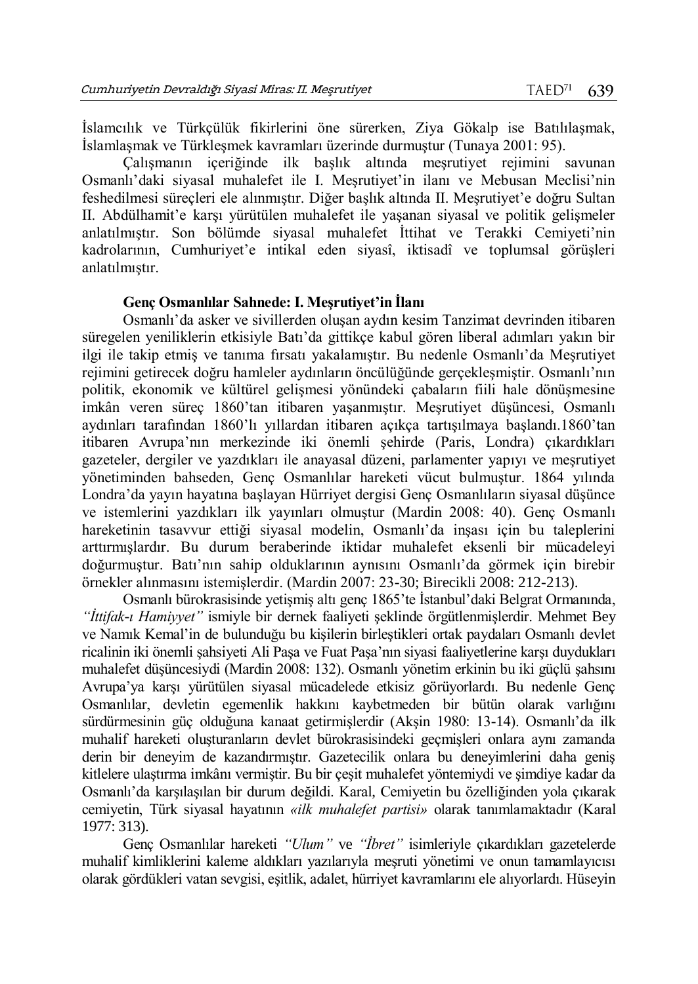İslamcılık ve Türkçülük fikirlerini öne sürerken, Ziya Gökalp ise Batılılaşmak, İslamlaşmak ve Türkleşmek kavramları üzerinde durmuştur (Tunaya 2001: 95).

Çalışmanın içeriğinde ilk başlık altında meşrutiyet rejimini savunan Osmanlı'daki siyasal muhalefet ile I. Meşrutiyet'in ilanı ve Mebusan Meclisi'nin feshedilmesi süreçleri ele alınmıştır. Diğer başlık altında II. Meşrutiyet'e doğru Sultan II. Abdülhamit'e karşı yürütülen muhalefet ile yaşanan siyasal ve politik gelişmeler anlatılmıştır. Son bölümde siyasal muhalefet İttihat ve Terakki Cemiyeti'nin kadrolarının, Cumhuriyet'e intikal eden siyasî, iktisadî ve toplumsal görüşleri anlatılmıştır.

### **Genç Osmanlılar Sahnede: I. Meşrutiyet'in İlanı**

Osmanlı'da asker ve sivillerden oluşan aydın kesim Tanzimat devrinden itibaren süregelen yeniliklerin etkisiyle Batı'da gittikçe kabul gören liberal adımları yakın bir ilgi ile takip etmiş ve tanıma fırsatı yakalamıştır. Bu nedenle Osmanlı'da Meşrutiyet rejimini getirecek doğru hamleler aydınların öncülüğünde gerçekleşmiştir. Osmanlı'nın politik, ekonomik ve kültürel gelişmesi yönündeki çabaların fiili hale dönüşmesine imkân veren süreç 1860'tan itibaren yaşanmıştır. Meşrutiyet düşüncesi, Osmanlı aydınları tarafından 1860'lı yıllardan itibaren açıkça tartışılmaya başlandı.1860'tan itibaren Avrupa'nın merkezinde iki önemli şehirde (Paris, Londra) çıkardıkları gazeteler, dergiler ve yazdıkları ile anayasal düzeni, parlamenter yapıyı ve meşrutiyet yönetiminden bahseden, Genç Osmanlılar hareketi vücut bulmuştur. 1864 yılında Londra'da yayın hayatına başlayan Hürriyet dergisi Genç Osmanlıların siyasal düşünce ve istemlerini yazdıkları ilk yayınları olmuştur (Mardin 2008: 40). Genç Osmanlı hareketinin tasavvur ettiği siyasal modelin, Osmanlı'da inşası için bu taleplerini arttırmışlardır. Bu durum beraberinde iktidar muhalefet eksenli bir mücadeleyi doğurmuştur. Batı'nın sahip olduklarının aynısını Osmanlı'da görmek için birebir örnekler alınmasını istemişlerdir. (Mardin 2007: 23-30; Birecikli 2008: 212-213).

Osmanlı bürokrasisinde yetişmiş altı genç 1865'te İstanbul'daki Belgrat Ormanında, *"İttifak-ı Hamiyyet"* ismiyle bir dernek faaliyeti şeklinde örgütlenmişlerdir. Mehmet Bey ve Namık Kemal'in de bulunduğu bu kişilerin birleştikleri ortak paydaları Osmanlı devlet ricalinin iki önemli şahsiyeti Ali Paşa ve Fuat Paşa'nın siyasi faaliyetlerine karşı duydukları muhalefet düşüncesiydi (Mardin 2008: 132). Osmanlı yönetim erkinin bu iki güçlü şahsını Avrupa'ya karşı yürütülen siyasal mücadelede etkisiz görüyorlardı. Bu nedenle Genç Osmanlılar, devletin egemenlik hakkını kaybetmeden bir bütün olarak varlığını sürdürmesinin güç olduğuna kanaat getirmişlerdir (Akşin 1980: 13-14). Osmanlı'da ilk muhalif hareketi oluşturanların devlet bürokrasisindeki geçmişleri onlara aynı zamanda derin bir deneyim de kazandırmıştır. Gazetecilik onlara bu deneyimlerini daha geniş kitlelere ulaştırma imkânı vermiştir. Bu bir çeşit muhalefet yöntemiydi ve şimdiye kadar da Osmanlı'da karşılaşılan bir durum değildi. Karal, Cemiyetin bu özelliğinden yola çıkarak cemiyetin, Türk siyasal hayatının *«ilk muhalefet partisi»* olarak tanımlamaktadır (Karal 1977: 313).

Genç Osmanlılar hareketi *"Ulum"* ve *"İbret"* isimleriyle çıkardıkları gazetelerde muhalif kimliklerini kaleme aldıkları yazılarıyla meşruti yönetimi ve onun tamamlayıcısı olarak gördükleri vatan sevgisi, eşitlik, adalet, hürriyet kavramlarını ele alıyorlardı. Hüseyin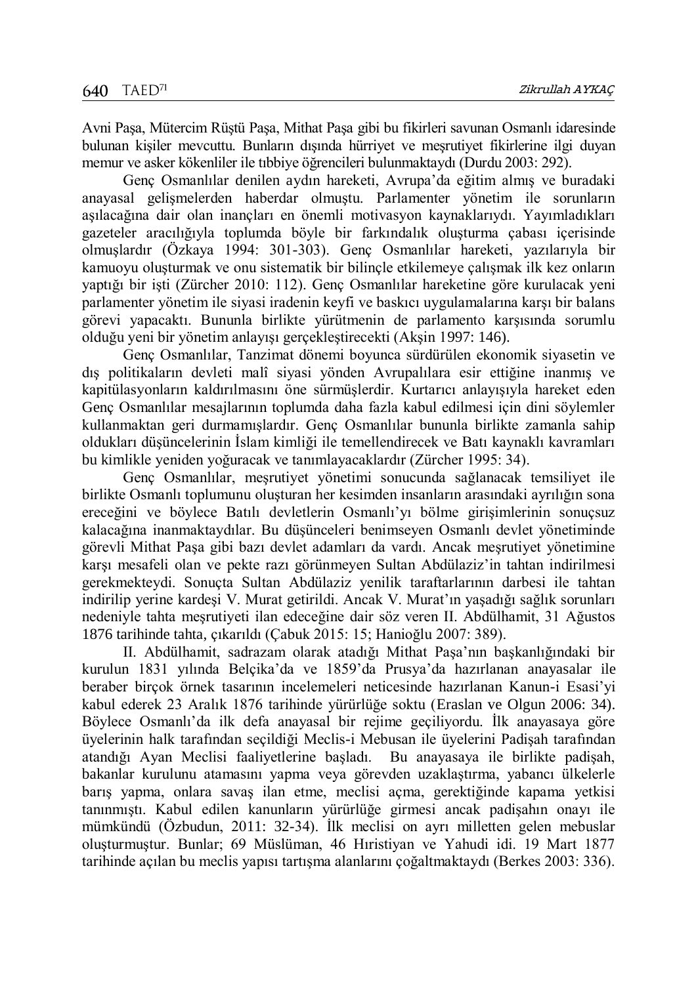Avni Paşa, Mütercim Rüştü Paşa, Mithat Paşa gibi bu fikirleri savunan Osmanlı idaresinde bulunan kişiler mevcuttu. Bunların dışında hürriyet ve meşrutiyet fikirlerine ilgi duyan memur ve asker kökenliler ile tıbbiye öğrencileri bulunmaktaydı (Durdu 2003: 292).

Genç Osmanlılar denilen aydın hareketi, Avrupa'da eğitim almış ve buradaki anayasal gelişmelerden haberdar olmuştu. Parlamenter yönetim ile sorunların aşılacağına dair olan inançları en önemli motivasyon kaynaklarıydı. Yayımladıkları gazeteler aracılığıyla toplumda böyle bir farkındalık oluşturma çabası içerisinde olmuşlardır (Özkaya 1994: 301-303). Genç Osmanlılar hareketi, yazılarıyla bir kamuoyu oluşturmak ve onu sistematik bir bilinçle etkilemeye çalışmak ilk kez onların yaptığı bir işti (Zürcher 2010: 112). Genç Osmanlılar hareketine göre kurulacak yeni parlamenter yönetim ile siyasi iradenin keyfi ve baskıcı uygulamalarına karşı bir balans görevi yapacaktı. Bununla birlikte yürütmenin de parlamento karşısında sorumlu olduğu yeni bir yönetim anlayışı gerçekleştirecekti (Akşin 1997: 146).

Genç Osmanlılar, Tanzimat dönemi boyunca sürdürülen ekonomik siyasetin ve dış politikaların devleti malî siyasi yönden Avrupalılara esir ettiğine inanmış ve kapitülasyonların kaldırılmasını öne sürmüşlerdir. Kurtarıcı anlayışıyla hareket eden Genç Osmanlılar mesajlarının toplumda daha fazla kabul edilmesi için dini söylemler kullanmaktan geri durmamışlardır. Genç Osmanlılar bununla birlikte zamanla sahip oldukları düşüncelerinin İslam kimliği ile temellendirecek ve Batı kaynaklı kavramları bu kimlikle yeniden yoğuracak ve tanımlayacaklardır (Zürcher 1995: 34).

Genç Osmanlılar, meşrutiyet yönetimi sonucunda sağlanacak temsiliyet ile birlikte Osmanlı toplumunu oluşturan her kesimden insanların arasındaki ayrılığın sona ereceğini ve böylece Batılı devletlerin Osmanlı'yı bölme girişimlerinin sonuçsuz kalacağına inanmaktaydılar. Bu düşünceleri benimseyen Osmanlı devlet yönetiminde görevli Mithat Paşa gibi bazı devlet adamları da vardı. Ancak meşrutiyet yönetimine karşı mesafeli olan ve pekte razı görünmeyen Sultan Abdülaziz'in tahtan indirilmesi gerekmekteydi. Sonuçta Sultan Abdülaziz yenilik taraftarlarının darbesi ile tahtan indirilip yerine kardeşi V. Murat getirildi. Ancak V. Murat'ın yaşadığı sağlık sorunları nedeniyle tahta meşrutiyeti ilan edeceğine dair söz veren II. Abdülhamit, 31 Ağustos 1876 tarihinde tahta, çıkarıldı (Çabuk 2015: 15; Hanioğlu 2007: 389).

II. Abdülhamit, sadrazam olarak atadığı Mithat Paşa'nın başkanlığındaki bir kurulun 1831 yılında Belçika'da ve 1859'da Prusya'da hazırlanan anayasalar ile beraber birçok örnek tasarının incelemeleri neticesinde hazırlanan Kanun-i Esasi'yi kabul ederek 23 Aralık 1876 tarihinde yürürlüğe soktu (Eraslan ve Olgun 2006: 34). Böylece Osmanlı'da ilk defa anayasal bir rejime geçiliyordu. İlk anayasaya göre üyelerinin halk tarafından seçildiği Meclis-i Mebusan ile üyelerini Padişah tarafından atandığı Ayan Meclisi faaliyetlerine başladı. Bu anayasaya ile birlikte padişah, bakanlar kurulunu atamasını yapma veya görevden uzaklaştırma, yabancı ülkelerle barış yapma, onlara savaş ilan etme, meclisi açma, gerektiğinde kapama yetkisi tanınmıştı. Kabul edilen kanunların yürürlüğe girmesi ancak padişahın onayı ile mümkündü (Özbudun, 2011: 32-34). İlk meclisi on ayrı milletten gelen mebuslar oluşturmuştur. Bunlar; 69 Müslüman, 46 Hıristiyan ve Yahudi idi. 19 Mart 1877 tarihinde açılan bu meclis yapısı tartışma alanlarını çoğaltmaktaydı (Berkes 2003: 336).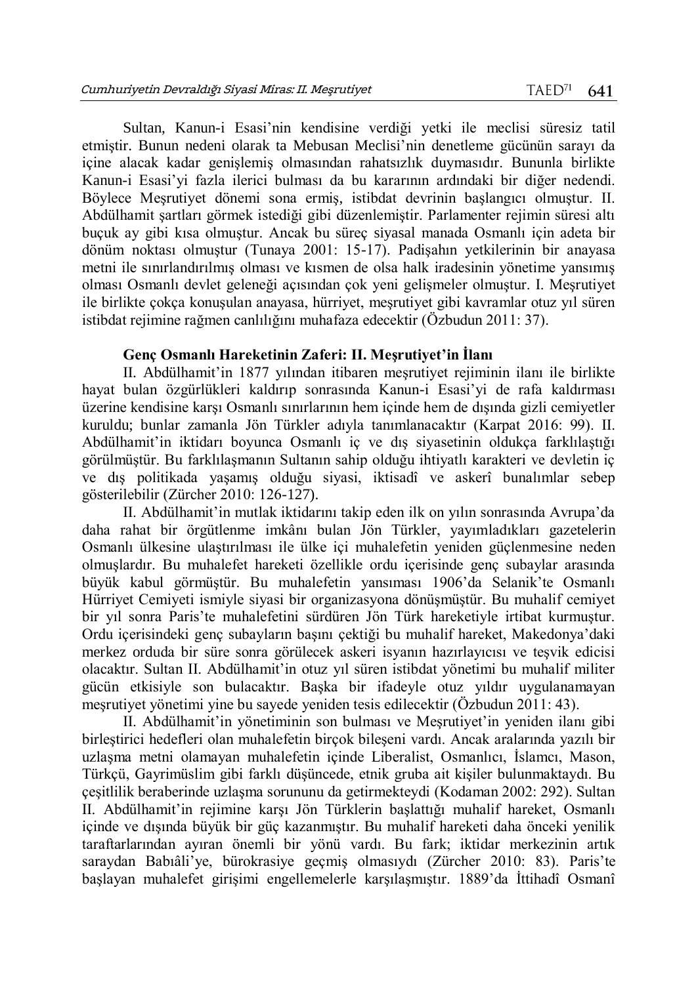Sultan, Kanun-i Esasi'nin kendisine verdiği yetki ile meclisi süresiz tatil etmiştir. Bunun nedeni olarak ta Mebusan Meclisi'nin denetleme gücünün sarayı da içine alacak kadar genişlemiş olmasından rahatsızlık duymasıdır. Bununla birlikte Kanun-i Esasi'yi fazla ilerici bulması da bu kararının ardındaki bir diğer nedendi. Böylece Meşrutiyet dönemi sona ermiş, istibdat devrinin başlangıcı olmuştur. II. Abdülhamit şartları görmek istediği gibi düzenlemiştir. Parlamenter rejimin süresi altı buçuk ay gibi kısa olmuştur. Ancak bu süreç siyasal manada Osmanlı için adeta bir dönüm noktası olmuştur (Tunaya 2001: 15-17). Padişahın yetkilerinin bir anayasa metni ile sınırlandırılmış olması ve kısmen de olsa halk iradesinin yönetime yansımış olması Osmanlı devlet geleneği açısından çok yeni gelişmeler olmuştur. I. Meşrutiyet ile birlikte çokça konuşulan anayasa, hürriyet, meşrutiyet gibi kavramlar otuz yıl süren istibdat rejimine rağmen canlılığını muhafaza edecektir (Özbudun 2011: 37).

## **Genç Osmanlı Hareketinin Zaferi: II. Meşrutiyet'in İlanı**

II. Abdülhamit'in 1877 yılından itibaren meşrutiyet rejiminin ilanı ile birlikte hayat bulan özgürlükleri kaldırıp sonrasında Kanun-i Esasi'yi de rafa kaldırması üzerine kendisine karşı Osmanlı sınırlarının hem içinde hem de dışında gizli cemiyetler kuruldu; bunlar zamanla Jön Türkler adıyla tanımlanacaktır (Karpat 2016: 99). II. Abdülhamit'in iktidarı boyunca Osmanlı iç ve dış siyasetinin oldukça farklılaştığı görülmüştür. Bu farklılaşmanın Sultanın sahip olduğu ihtiyatlı karakteri ve devletin iç ve dış politikada yaşamış olduğu siyasi, iktisadî ve askerî bunalımlar sebep gösterilebilir (Zürcher 2010: 126-127).

II. Abdülhamit'in mutlak iktidarını takip eden ilk on yılın sonrasında Avrupa'da daha rahat bir örgütlenme imkânı bulan Jön Türkler, yayımladıkları gazetelerin Osmanlı ülkesine ulaştırılması ile ülke içi muhalefetin yeniden güçlenmesine neden olmuşlardır. Bu muhalefet hareketi özellikle ordu içerisinde genç subaylar arasında büyük kabul görmüştür. Bu muhalefetin yansıması 1906'da Selanik'te Osmanlı Hürriyet Cemiyeti ismiyle siyasi bir organizasyona dönüşmüştür. Bu muhalif cemiyet bir yıl sonra Paris'te muhalefetini sürdüren Jön Türk hareketiyle irtibat kurmuştur. Ordu içerisindeki genç subayların başını çektiği bu muhalif hareket, Makedonya'daki merkez orduda bir süre sonra görülecek askeri isyanın hazırlayıcısı ve teşvik edicisi olacaktır. Sultan II. Abdülhamit'in otuz yıl süren istibdat yönetimi bu muhalif militer gücün etkisiyle son bulacaktır. Başka bir ifadeyle otuz yıldır uygulanamayan meşrutiyet yönetimi yine bu sayede yeniden tesis edilecektir (Özbudun 2011: 43).

II. Abdülhamit'in yönetiminin son bulması ve Meşrutiyet'in yeniden ilanı gibi birleştirici hedefleri olan muhalefetin birçok bileşeni vardı. Ancak aralarında yazılı bir uzlaşma metni olamayan muhalefetin içinde Liberalist, Osmanlıcı, İslamcı, Mason, Türkçü, Gayrimüslim gibi farklı düşüncede, etnik gruba ait kişiler bulunmaktaydı. Bu çeşitlilik beraberinde uzlaşma sorununu da getirmekteydi (Kodaman 2002: 292). Sultan II. Abdülhamit'in rejimine karşı Jön Türklerin başlattığı muhalif hareket, Osmanlı içinde ve dışında büyük bir güç kazanmıştır. Bu muhalif hareketi daha önceki yenilik taraftarlarından ayıran önemli bir yönü vardı. Bu fark; iktidar merkezinin artık saraydan Babıâli'ye, bürokrasiye geçmiş olmasıydı (Zürcher 2010: 83). Paris'te başlayan muhalefet girişimi engellemelerle karşılaşmıştır. 1889'da İttihadî Osmanî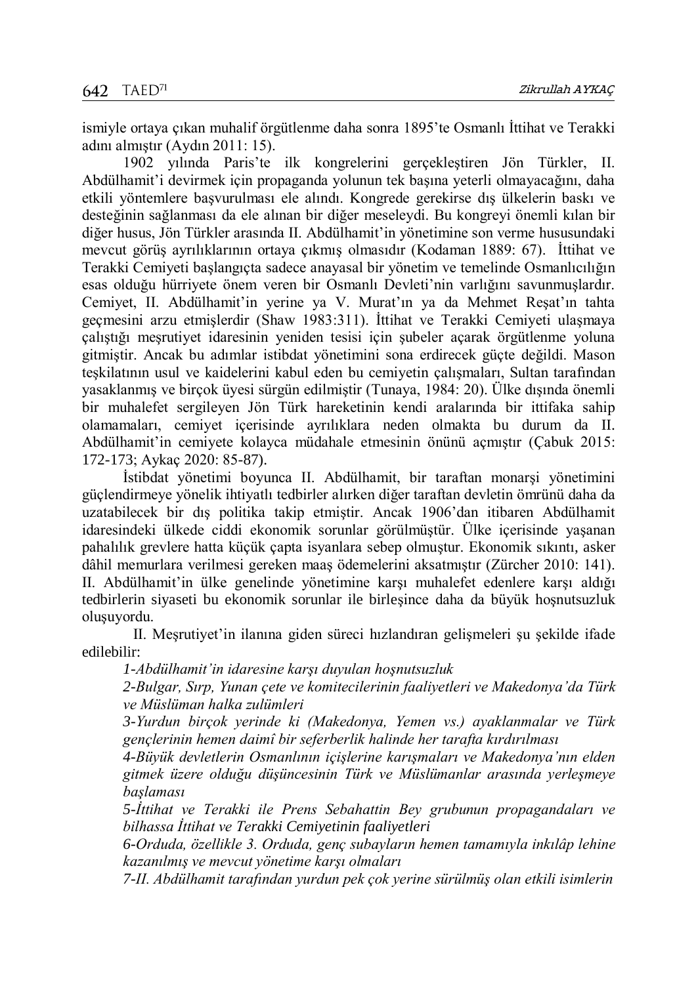ismiyle ortaya çıkan muhalif örgütlenme daha sonra 1895'te Osmanlı İttihat ve Terakki adını almıştır (Aydın 2011: 15).

1902 yılında Paris'te ilk kongrelerini gerçekleştiren Jön Türkler, II. Abdülhamit'i devirmek için propaganda yolunun tek başına yeterli olmayacağını, daha etkili yöntemlere başvurulması ele alındı. Kongrede gerekirse dış ülkelerin baskı ve desteğinin sağlanması da ele alınan bir diğer meseleydi. Bu kongreyi önemli kılan bir diğer husus, Jön Türkler arasında II. Abdülhamit'in yönetimine son verme hususundaki mevcut görüş ayrılıklarının ortaya çıkmış olmasıdır (Kodaman 1889: 67). İttihat ve Terakki Cemiyeti başlangıçta sadece anayasal bir yönetim ve temelinde Osmanlıcılığın esas olduğu hürriyete önem veren bir Osmanlı Devleti'nin varlığını savunmuşlardır. Cemiyet, II. Abdülhamit'in yerine ya V. Murat'ın ya da Mehmet Reşat'ın tahta geçmesini arzu etmişlerdir (Shaw 1983:311). İttihat ve Terakki Cemiyeti ulaşmaya çalıştığı meşrutiyet idaresinin yeniden tesisi için şubeler açarak örgütlenme yoluna gitmiştir. Ancak bu adımlar istibdat yönetimini sona erdirecek güçte değildi. Mason teşkilatının usul ve kaidelerini kabul eden bu cemiyetin çalışmaları, Sultan tarafından yasaklanmış ve birçok üyesi sürgün edilmiştir (Tunaya, 1984: 20). Ülke dışında önemli bir muhalefet sergileyen Jön Türk hareketinin kendi aralarında bir ittifaka sahip olamamaları, cemiyet içerisinde ayrılıklara neden olmakta bu durum da II. Abdülhamit'in cemiyete kolayca müdahale etmesinin önünü açmıştır (Çabuk 2015: 172-173; Aykaç 2020: 85-87).

İstibdat yönetimi boyunca II. Abdülhamit, bir taraftan monarşi yönetimini güçlendirmeye yönelik ihtiyatlı tedbirler alırken diğer taraftan devletin ömrünü daha da uzatabilecek bir dış politika takip etmiştir. Ancak 1906'dan itibaren Abdülhamit idaresindeki ülkede ciddi ekonomik sorunlar görülmüştür. Ülke içerisinde yaşanan pahalılık grevlere hatta küçük çapta isyanlara sebep olmuştur. Ekonomik sıkıntı, asker dâhil memurlara verilmesi gereken maaş ödemelerini aksatmıştır (Zürcher 2010: 141). II. Abdülhamit'in ülke genelinde yönetimine karşı muhalefet edenlere karşı aldığı tedbirlerin siyaseti bu ekonomik sorunlar ile birleşince daha da büyük hoşnutsuzluk oluşuyordu.

II. Meşrutiyet'in ilanına giden süreci hızlandıran gelişmeleri şu şekilde ifade edilebilir:

*1-Abdülhamit'in idaresine karşı duyulan hoşnutsuzluk* 

*2-Bulgar, Sırp, Yunan çete ve komitecilerinin faaliyetleri ve Makedonya'da Türk ve Müslüman halka zulümleri* 

*3-Yurdun birçok yerinde ki (Makedonya, Yemen vs.) ayaklanmalar ve Türk gençlerinin hemen daimî bir seferberlik halinde her tarafta kırdırılması* 

*4-Büyük devletlerin Osmanlının içişlerine karışmaları ve Makedonya'nın elden gitmek üzere olduğu düşüncesinin Türk ve Müslümanlar arasında yerleşmeye başlaması* 

*5-İttihat ve Terakki ile Prens Sebahattin Bey grubunun propagandaları ve bilhassa İttihat ve Terakki Cemiyetinin faaliyetleri* 

*6-Orduda, özellikle 3. Orduda, genç subayların hemen tamamıyla inkılâp lehine kazanılmış ve mevcut yönetime karşı olmaları* 

*7-II. Abdülhamit tarafından yurdun pek çok yerine sürülmüş olan etkili isimlerin*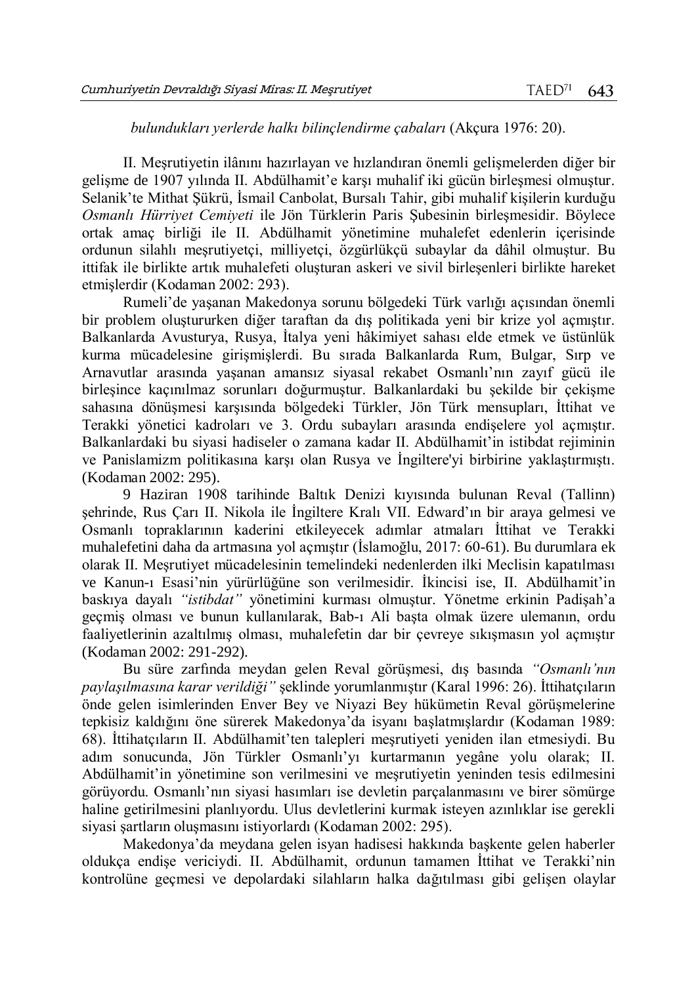## *bulundukları yerlerde halkı bilinçlendirme çabaları* (Akçura 1976: 20).

II. Meşrutiyetin ilânını hazırlayan ve hızlandıran önemli gelişmelerden diğer bir gelişme de 1907 yılında II. Abdülhamit'e karşı muhalif iki gücün birleşmesi olmuştur. Selanik'te Mithat Şükrü, İsmail Canbolat, Bursalı Tahir, gibi muhalif kişilerin kurduğu *Osmanlı Hürriyet Cemiyeti* ile Jön Türklerin Paris Şubesinin birleşmesidir. Böylece ortak amaç birliği ile II. Abdülhamit yönetimine muhalefet edenlerin içerisinde ordunun silahlı meşrutiyetçi, milliyetçi, özgürlükçü subaylar da dâhil olmuştur. Bu ittifak ile birlikte artık muhalefeti oluşturan askeri ve sivil birleşenleri birlikte hareket etmişlerdir (Kodaman 2002: 293).

Rumeli'de yaşanan Makedonya sorunu bölgedeki Türk varlığı açısından önemli bir problem oluştururken diğer taraftan da dış politikada yeni bir krize yol açmıştır. Balkanlarda Avusturya, Rusya, İtalya yeni hâkimiyet sahası elde etmek ve üstünlük kurma mücadelesine girişmişlerdi. Bu sırada Balkanlarda Rum, Bulgar, Sırp ve Arnavutlar arasında yaşanan amansız siyasal rekabet Osmanlı'nın zayıf gücü ile birleşince kaçınılmaz sorunları doğurmuştur. Balkanlardaki bu şekilde bir çekişme sahasına dönüşmesi karşısında bölgedeki Türkler, Jön Türk mensupları, İttihat ve Terakki yönetici kadroları ve 3. Ordu subayları arasında endişelere yol açmıştır. Balkanlardaki bu siyasi hadiseler o zamana kadar II. Abdülhamit'in istibdat rejiminin ve Panislamizm politikasına karşı olan Rusya ve İngiltere'yi birbirine yaklaştırmıştı. (Kodaman 2002: 295).

9 Haziran 1908 tarihinde Baltık Denizi kıyısında bulunan Reval (Tallinn) şehrinde, Rus Çarı II. Nikola ile İngiltere Kralı VII. Edward'ın bir araya gelmesi ve Osmanlı topraklarının kaderini etkileyecek adımlar atmaları İttihat ve Terakki muhalefetini daha da artmasına yol açmıştır (İslamoğlu, 2017: 60-61). Bu durumlara ek olarak II. Meşrutiyet mücadelesinin temelindeki nedenlerden ilki Meclisin kapatılması ve Kanun-ı Esasi'nin yürürlüğüne son verilmesidir. İkincisi ise, II. Abdülhamit'in baskıya dayalı *"istibdat"* yönetimini kurması olmuştur. Yönetme erkinin Padişah'a geçmiş olması ve bunun kullanılarak, Bab-ı Ali başta olmak üzere ulemanın, ordu faaliyetlerinin azaltılmış olması, muhalefetin dar bir çevreye sıkışmasın yol açmıştır (Kodaman 2002: 291-292).

Bu süre zarfında meydan gelen Reval görüşmesi, dış basında *"Osmanlı'nın paylaşılmasına karar verildiği"* şeklinde yorumlanmıştır (Karal 1996: 26). İttihatçıların önde gelen isimlerinden Enver Bey ve Niyazi Bey hükümetin Reval görüşmelerine tepkisiz kaldığını öne sürerek Makedonya'da isyanı başlatmışlardır (Kodaman 1989: 68). İttihatçıların II. Abdülhamit'ten talepleri meşrutiyeti yeniden ilan etmesiydi. Bu adım sonucunda, Jön Türkler Osmanlı'yı kurtarmanın yegâne yolu olarak; II. Abdülhamit'in yönetimine son verilmesini ve meşrutiyetin yeninden tesis edilmesini görüyordu. Osmanlı'nın siyasi hasımları ise devletin parçalanmasını ve birer sömürge haline getirilmesini planlıyordu. Ulus devletlerini kurmak isteyen azınlıklar ise gerekli siyasi şartların oluşmasını istiyorlardı (Kodaman 2002: 295).

Makedonya'da meydana gelen isyan hadisesi hakkında başkente gelen haberler oldukça endişe vericiydi. II. Abdülhamit, ordunun tamamen İttihat ve Terakki'nin kontrolüne geçmesi ve depolardaki silahların halka dağıtılması gibi gelişen olaylar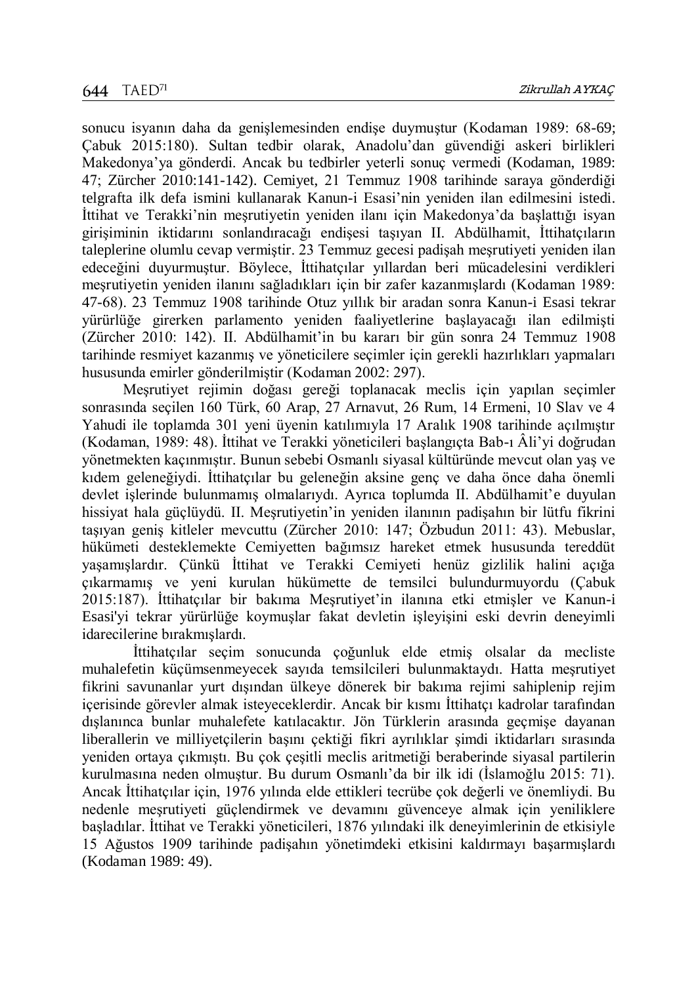sonucu isyanın daha da genişlemesinden endişe duymuştur (Kodaman 1989: 68-69; Çabuk 2015:180). Sultan tedbir olarak, Anadolu'dan güvendiği askeri birlikleri Makedonya'ya gönderdi. Ancak bu tedbirler yeterli sonuç vermedi (Kodaman, 1989: 47; Zürcher 2010:141-142). Cemiyet, 21 Temmuz 1908 tarihinde saraya gönderdiği telgrafta ilk defa ismini kullanarak Kanun-i Esasi'nin yeniden ilan edilmesini istedi. İttihat ve Terakki'nin meşrutiyetin yeniden ilanı için Makedonya'da başlattığı isyan girişiminin iktidarını sonlandıracağı endişesi taşıyan II. Abdülhamit, İttihatçıların taleplerine olumlu cevap vermiştir. 23 Temmuz gecesi padişah meşrutiyeti yeniden ilan edeceğini duyurmuştur. Böylece, İttihatçılar yıllardan beri mücadelesini verdikleri meşrutiyetin yeniden ilanını sağladıkları için bir zafer kazanmışlardı (Kodaman 1989: 47-68). 23 Temmuz 1908 tarihinde Otuz yıllık bir aradan sonra Kanun-i Esasi tekrar yürürlüğe girerken parlamento yeniden faaliyetlerine başlayacağı ilan edilmişti (Zürcher 2010: 142). II. Abdülhamit'in bu kararı bir gün sonra 24 Temmuz 1908 tarihinde resmiyet kazanmış ve yöneticilere seçimler için gerekli hazırlıkları yapmaları hususunda emirler gönderilmiştir (Kodaman 2002: 297).

Meşrutiyet rejimin doğası gereği toplanacak meclis için yapılan seçimler sonrasında seçilen 160 Türk, 60 Arap, 27 Arnavut, 26 Rum, 14 Ermeni, 10 Slav ve 4 Yahudi ile toplamda 301 yeni üyenin katılımıyla 17 Aralık 1908 tarihinde açılmıştır (Kodaman, 1989: 48). İttihat ve Terakki yöneticileri başlangıçta Bab-ı Âli'yi doğrudan yönetmekten kaçınmıştır. Bunun sebebi Osmanlı siyasal kültüründe mevcut olan yaş ve kıdem geleneğiydi. İttihatçılar bu geleneğin aksine genç ve daha önce daha önemli devlet işlerinde bulunmamış olmalarıydı. Ayrıca toplumda II. Abdülhamit'e duyulan hissiyat hala güçlüydü. II. Meşrutiyetin'in yeniden ilanının padişahın bir lütfu fikrini taşıyan geniş kitleler mevcuttu (Zürcher 2010: 147; Özbudun 2011: 43). Mebuslar, hükümeti desteklemekte Cemiyetten bağımsız hareket etmek hususunda tereddüt yaşamışlardır. Çünkü İttihat ve Terakki Cemiyeti henüz gizlilik halini açığa çıkarmamış ve yeni kurulan hükümette de temsilci bulundurmuyordu (Çabuk 2015:187). İttihatçılar bir bakıma Meşrutiyet'in ilanına etki etmişler ve Kanun-i Esasi'yi tekrar yürürlüğe koymuşlar fakat devletin işleyişini eski devrin deneyimli idarecilerine bırakmışlardı.

İttihatçılar seçim sonucunda çoğunluk elde etmiş olsalar da mecliste muhalefetin küçümsenmeyecek sayıda temsilcileri bulunmaktaydı. Hatta meşrutiyet fikrini savunanlar yurt dışından ülkeye dönerek bir bakıma rejimi sahiplenip rejim içerisinde görevler almak isteyeceklerdir. Ancak bir kısmı İttihatçı kadrolar tarafından dışlanınca bunlar muhalefete katılacaktır. Jön Türklerin arasında geçmişe dayanan liberallerin ve milliyetçilerin başını çektiği fikri ayrılıklar şimdi iktidarları sırasında yeniden ortaya çıkmıştı. Bu çok çeşitli meclis aritmetiği beraberinde siyasal partilerin kurulmasına neden olmuştur. Bu durum Osmanlı'da bir ilk idi (İslamoğlu 2015: 71). Ancak İttihatçılar için, 1976 yılında elde ettikleri tecrübe çok değerli ve önemliydi. Bu nedenle meşrutiyeti güçlendirmek ve devamını güvenceye almak için yeniliklere başladılar. İttihat ve Terakki yöneticileri, 1876 yılındaki ilk deneyimlerinin de etkisiyle 15 Ağustos 1909 tarihinde padişahın yönetimdeki etkisini kaldırmayı başarmışlardı (Kodaman 1989: 49).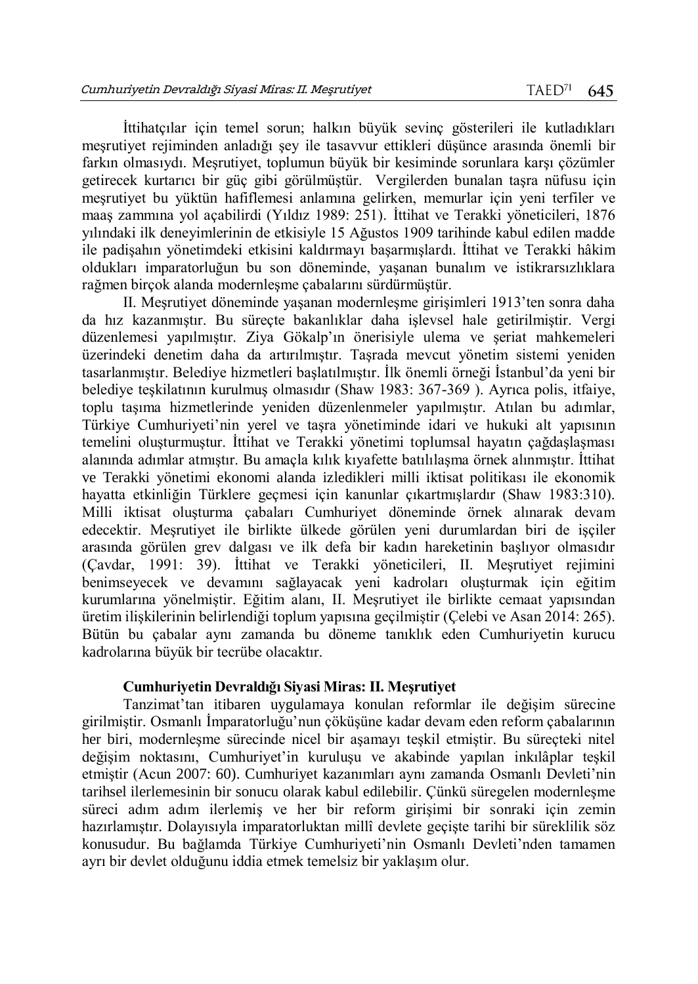İttihatçılar için temel sorun; halkın büyük sevinç gösterileri ile kutladıkları meşrutiyet rejiminden anladığı şey ile tasavvur ettikleri düşünce arasında önemli bir farkın olmasıydı. Meşrutiyet, toplumun büyük bir kesiminde sorunlara karşı çözümler getirecek kurtarıcı bir güç gibi görülmüştür. Vergilerden bunalan taşra nüfusu için meşrutiyet bu yüktün hafiflemesi anlamına gelirken, memurlar için yeni terfiler ve maaş zammına yol açabilirdi (Yıldız 1989: 251). İttihat ve Terakki yöneticileri, 1876 yılındaki ilk deneyimlerinin de etkisiyle 15 Ağustos 1909 tarihinde kabul edilen madde ile padişahın yönetimdeki etkisini kaldırmayı başarmışlardı. İttihat ve Terakki hâkim oldukları imparatorluğun bu son döneminde, yaşanan bunalım ve istikrarsızlıklara rağmen birçok alanda modernleşme çabalarını sürdürmüştür.

II. Meşrutiyet döneminde yaşanan modernleşme girişimleri 1913'ten sonra daha da hız kazanmıştır. Bu süreçte bakanlıklar daha işlevsel hale getirilmiştir. Vergi düzenlemesi yapılmıştır. Ziya Gökalp'ın önerisiyle ulema ve şeriat mahkemeleri üzerindeki denetim daha da artırılmıştır. Taşrada mevcut yönetim sistemi yeniden tasarlanmıştır. Belediye hizmetleri başlatılmıştır. İlk önemli örneği İstanbul'da yeni bir belediye teşkilatının kurulmuş olmasıdır (Shaw 1983: 367-369 ). Ayrıca polis, itfaiye, toplu taşıma hizmetlerinde yeniden düzenlenmeler yapılmıştır. Atılan bu adımlar, Türkiye Cumhuriyeti'nin yerel ve taşra yönetiminde idari ve hukuki alt yapısının temelini oluşturmuştur. İttihat ve Terakki yönetimi toplumsal hayatın çağdaşlaşması alanında adımlar atmıştır. Bu amaçla kılık kıyafette batılılaşma örnek alınmıştır. İttihat ve Terakki yönetimi ekonomi alanda izledikleri milli iktisat politikası ile ekonomik hayatta etkinliğin Türklere geçmesi için kanunlar çıkartmışlardır (Shaw 1983:310). Milli iktisat oluşturma çabaları Cumhuriyet döneminde örnek alınarak devam edecektir. Meşrutiyet ile birlikte ülkede görülen yeni durumlardan biri de işçiler arasında görülen grev dalgası ve ilk defa bir kadın hareketinin başlıyor olmasıdır (Çavdar, 1991: 39). İttihat ve Terakki yöneticileri, II. Meşrutiyet rejimini benimseyecek ve devamını sağlayacak yeni kadroları oluşturmak için eğitim kurumlarına yönelmiştir. Eğitim alanı, II. Meşrutiyet ile birlikte cemaat yapısından üretim ilişkilerinin belirlendiği toplum yapısına geçilmiştir (Çelebi ve Asan 2014: 265). Bütün bu çabalar aynı zamanda bu döneme tanıklık eden Cumhuriyetin kurucu kadrolarına büyük bir tecrübe olacaktır.

## **Cumhuriyetin Devraldığı Siyasi Miras: II. Meşrutiyet**

Tanzimat'tan itibaren uygulamaya konulan reformlar ile değişim sürecine girilmiştir. Osmanlı İmparatorluğu'nun çöküşüne kadar devam eden reform çabalarının her biri, modernleşme sürecinde nicel bir aşamayı teşkil etmiştir. Bu süreçteki nitel değişim noktasını, Cumhuriyet'in kuruluşu ve akabinde yapılan inkılâplar teşkil etmiştir (Acun 2007: 60). Cumhuriyet kazanımları aynı zamanda Osmanlı Devleti'nin tarihsel ilerlemesinin bir sonucu olarak kabul edilebilir. Çünkü süregelen modernleşme süreci adım adım ilerlemiş ve her bir reform girişimi bir sonraki için zemin hazırlamıştır. Dolayısıyla imparatorluktan millî devlete geçişte tarihi bir süreklilik söz konusudur. Bu bağlamda Türkiye Cumhuriyeti'nin Osmanlı Devleti'nden tamamen ayrı bir devlet olduğunu iddia etmek temelsiz bir yaklaşım olur.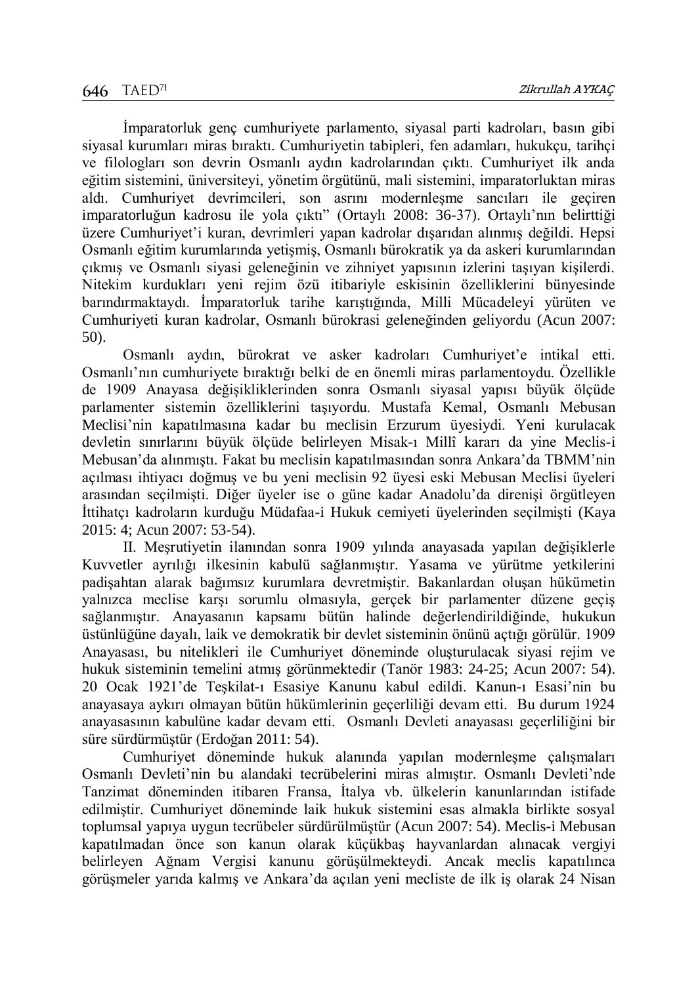İmparatorluk genç cumhuriyete parlamento, siyasal parti kadroları, basın gibi siyasal kurumları miras bıraktı. Cumhuriyetin tabipleri, fen adamları, hukukçu, tarihçi ve filologları son devrin Osmanlı aydın kadrolarından çıktı. Cumhuriyet ilk anda eğitim sistemini, üniversiteyi, yönetim örgütünü, mali sistemini, imparatorluktan miras aldı. Cumhuriyet devrimcileri, son asrını modernleşme sancıları ile geçiren imparatorluğun kadrosu ile yola çıktı" (Ortaylı 2008: 36-37). Ortaylı'nın belirttiği üzere Cumhuriyet'i kuran, devrimleri yapan kadrolar dışarıdan alınmış değildi. Hepsi Osmanlı eğitim kurumlarında yetişmiş, Osmanlı bürokratik ya da askeri kurumlarından çıkmış ve Osmanlı siyasi geleneğinin ve zihniyet yapısının izlerini taşıyan kişilerdi. Nitekim kurdukları yeni rejim özü itibariyle eskisinin özelliklerini bünyesinde barındırmaktaydı. İmparatorluk tarihe karıştığında, Milli Mücadeleyi yürüten ve Cumhuriyeti kuran kadrolar, Osmanlı bürokrasi geleneğinden geliyordu (Acun 2007: 50).

Osmanlı aydın, bürokrat ve asker kadroları Cumhuriyet'e intikal etti. Osmanlı'nın cumhuriyete bıraktığı belki de en önemli miras parlamentoydu. Özellikle de 1909 Anayasa değişikliklerinden sonra Osmanlı siyasal yapısı büyük ölçüde parlamenter sistemin özelliklerini taşıyordu. Mustafa Kemal, Osmanlı Mebusan Meclisi'nin kapatılmasına kadar bu meclisin Erzurum üyesiydi. Yeni kurulacak devletin sınırlarını büyük ölçüde belirleyen Misak-ı Millî kararı da yine Meclis-i Mebusan'da alınmıştı. Fakat bu meclisin kapatılmasından sonra Ankara'da TBMM'nin açılması ihtiyacı doğmuş ve bu yeni meclisin 92 üyesi eski Mebusan Meclisi üyeleri arasından seçilmişti. Diğer üyeler ise o güne kadar Anadolu'da direnişi örgütleyen İttihatçı kadroların kurduğu Müdafaa-i Hukuk cemiyeti üyelerinden seçilmişti (Kaya 2015: 4; Acun 2007: 53-54).

II. Meşrutiyetin ilanından sonra 1909 yılında anayasada yapılan değişiklerle Kuvvetler ayrılığı ilkesinin kabulü sağlanmıştır. Yasama ve yürütme yetkilerini padişahtan alarak bağımsız kurumlara devretmiştir. Bakanlardan oluşan hükümetin yalnızca meclise karşı sorumlu olmasıyla, gerçek bir parlamenter düzene geçiş sağlanmıştır. Anayasanın kapsamı bütün halinde değerlendirildiğinde, hukukun üstünlüğüne dayalı, laik ve demokratik bir devlet sisteminin önünü açtığı görülür. 1909 Anayasası, bu nitelikleri ile Cumhuriyet döneminde oluşturulacak siyasi rejim ve hukuk sisteminin temelini atmış görünmektedir (Tanör 1983: 24-25; Acun 2007: 54). 20 Ocak 1921'de Teşkilat-ı Esasiye Kanunu kabul edildi. Kanun-ı Esasi'nin bu anayasaya aykırı olmayan bütün hükümlerinin geçerliliği devam etti. Bu durum 1924 anayasasının kabulüne kadar devam etti. Osmanlı Devleti anayasası geçerliliğini bir süre sürdürmüştür (Erdoğan 2011: 54).

Cumhuriyet döneminde hukuk alanında yapılan modernleşme çalışmaları Osmanlı Devleti'nin bu alandaki tecrübelerini miras almıştır. Osmanlı Devleti'nde Tanzimat döneminden itibaren Fransa, İtalya vb. ülkelerin kanunlarından istifade edilmiştir. Cumhuriyet döneminde laik hukuk sistemini esas almakla birlikte sosyal toplumsal yapıya uygun tecrübeler sürdürülmüştür (Acun 2007: 54). Meclis-i Mebusan kapatılmadan önce son kanun olarak küçükbaş hayvanlardan alınacak vergiyi belirleyen Ağnam Vergisi kanunu görüşülmekteydi. Ancak meclis kapatılınca görüşmeler yarıda kalmış ve Ankara'da açılan yeni mecliste de ilk iş olarak 24 Nisan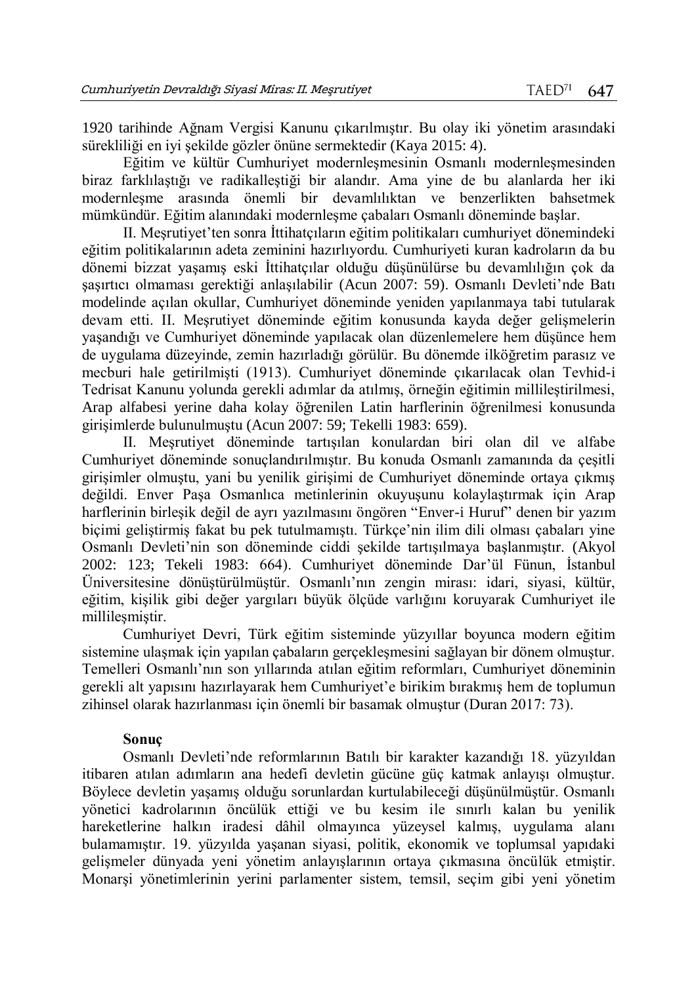1920 tarihinde Ağnam Vergisi Kanunu çıkarılmıştır. Bu olay iki yönetim arasındaki sürekliliği en iyi şekilde gözler önüne sermektedir (Kaya 2015: 4).

Eğitim ve kültür Cumhuriyet modernleşmesinin Osmanlı modernleşmesinden biraz farklılaştığı ve radikalleştiği bir alandır. Ama yine de bu alanlarda her iki modernleşme arasında önemli bir devamlılıktan ve benzerlikten bahsetmek mümkündür. Eğitim alanındaki modernleşme çabaları Osmanlı döneminde başlar.

II. Meşrutiyet'ten sonra İttihatçıların eğitim politikaları cumhuriyet dönemindeki eğitim politikalarının adeta zeminini hazırlıyordu. Cumhuriyeti kuran kadroların da bu dönemi bizzat yaşamış eski İttihatçılar olduğu düşünülürse bu devamlılığın çok da şaşırtıcı olmaması gerektiği anlaşılabilir (Acun 2007: 59). Osmanlı Devleti'nde Batı modelinde açılan okullar, Cumhuriyet döneminde yeniden yapılanmaya tabi tutularak devam etti. II. Meşrutiyet döneminde eğitim konusunda kayda değer gelişmelerin yaşandığı ve Cumhuriyet döneminde yapılacak olan düzenlemelere hem düşünce hem de uygulama düzeyinde, zemin hazırladığı görülür. Bu dönemde ilköğretim parasız ve mecburi hale getirilmişti (1913). Cumhuriyet döneminde çıkarılacak olan Tevhid-i Tedrisat Kanunu yolunda gerekli adımlar da atılmış, örneğin eğitimin millileştirilmesi, Arap alfabesi yerine daha kolay öğrenilen Latin harflerinin öğrenilmesi konusunda girişimlerde bulunulmuştu (Acun 2007: 59; Tekelli 1983: 659).

II. Meşrutiyet döneminde tartışılan konulardan biri olan dil ve alfabe Cumhuriyet döneminde sonuçlandırılmıştır. Bu konuda Osmanlı zamanında da çeşitli girişimler olmuştu, yani bu yenilik girişimi de Cumhuriyet döneminde ortaya çıkmış değildi. Enver Paşa Osmanlıca metinlerinin okuyuşunu kolaylaştırmak için Arap harflerinin birleşik değil de ayrı yazılmasını öngören "Enver-i Huruf" denen bir yazım biçimi geliştirmiş fakat bu pek tutulmamıştı. Türkçe'nin ilim dili olması çabaları yine Osmanlı Devleti'nin son döneminde ciddi şekilde tartışılmaya başlanmıştır. (Akyol 2002: 123; Tekeli 1983: 664). Cumhuriyet döneminde Dar'ül Fünun, İstanbul Üniversitesine dönüştürülmüştür. Osmanlı'nın zengin mirası: idari, siyasi, kültür, eğitim, kişilik gibi değer yargıları büyük ölçüde varlığını koruyarak Cumhuriyet ile millileşmiştir.

Cumhuriyet Devri, Türk eğitim sisteminde yüzyıllar boyunca modern eğitim sistemine ulaşmak için yapılan çabaların gerçekleşmesini sağlayan bir dönem olmuştur. Temelleri Osmanlı'nın son yıllarında atılan eğitim reformları, Cumhuriyet döneminin gerekli alt yapısını hazırlayarak hem Cumhuriyet'e birikim bırakmış hem de toplumun zihinsel olarak hazırlanması için önemli bir basamak olmuştur (Duran 2017: 73).

## **Sonuç**

Osmanlı Devleti'nde reformlarının Batılı bir karakter kazandığı 18. yüzyıldan itibaren atılan adımların ana hedefi devletin gücüne güç katmak anlayışı olmuştur. Böylece devletin yaşamış olduğu sorunlardan kurtulabileceği düşünülmüştür. Osmanlı yönetici kadrolarının öncülük ettiği ve bu kesim ile sınırlı kalan bu yenilik hareketlerine halkın iradesi dâhil olmayınca yüzeysel kalmış, uygulama alanı bulamamıştır. 19. yüzyılda yaşanan siyasi, politik, ekonomik ve toplumsal yapıdaki gelişmeler dünyada yeni yönetim anlayışlarının ortaya çıkmasına öncülük etmiştir. Monarşi yönetimlerinin yerini parlamenter sistem, temsil, seçim gibi yeni yönetim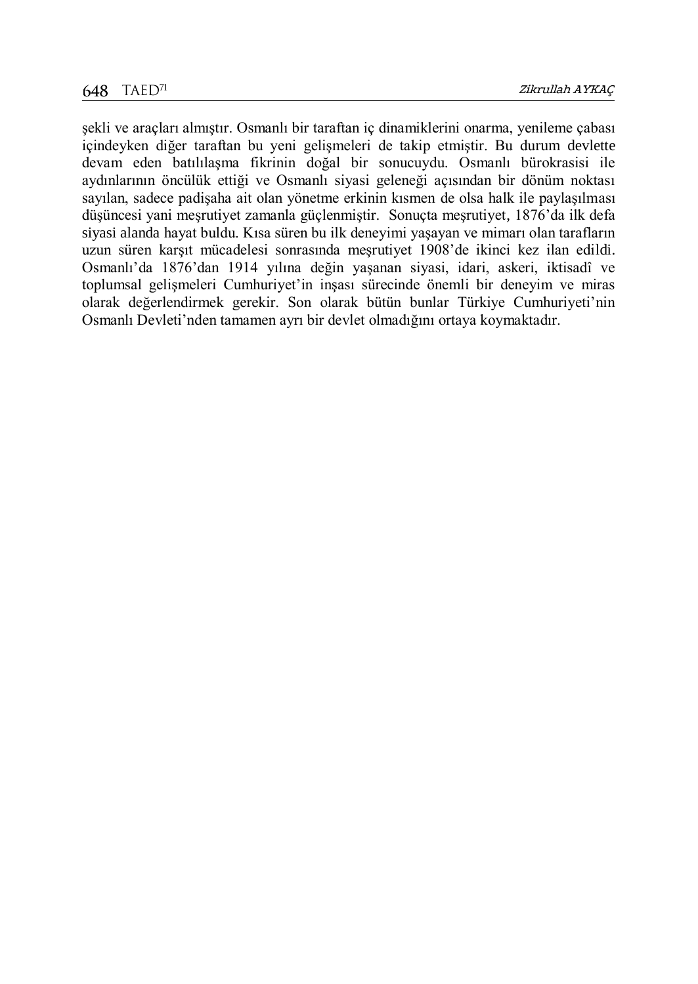şekli ve araçları almıştır. Osmanlı bir taraftan iç dinamiklerini onarma, yenileme çabası içindeyken diğer taraftan bu yeni gelişmeleri de takip etmiştir. Bu durum devlette devam eden batılılaşma fikrinin doğal bir sonucuydu. Osmanlı bürokrasisi ile aydınlarının öncülük ettiği ve Osmanlı siyasi geleneği açısından bir dönüm noktası sayılan, sadece padişaha ait olan yönetme erkinin kısmen de olsa halk ile paylaşılması düşüncesi yani meşrutiyet zamanla güçlenmiştir. Sonuçta meşrutiyet, 1876'da ilk defa siyasi alanda hayat buldu. Kısa süren bu ilk deneyimi yaşayan ve mimarı olan tarafların uzun süren karşıt mücadelesi sonrasında meşrutiyet 1908'de ikinci kez ilan edildi. Osmanlı'da 1876'dan 1914 yılına değin yaşanan siyasi, idari, askeri, iktisadî ve toplumsal gelişmeleri Cumhuriyet'in inşası sürecinde önemli bir deneyim ve miras olarak değerlendirmek gerekir. Son olarak bütün bunlar Türkiye Cumhuriyeti'nin Osmanlı Devleti'nden tamamen ayrı bir devlet olmadığını ortaya koymaktadır.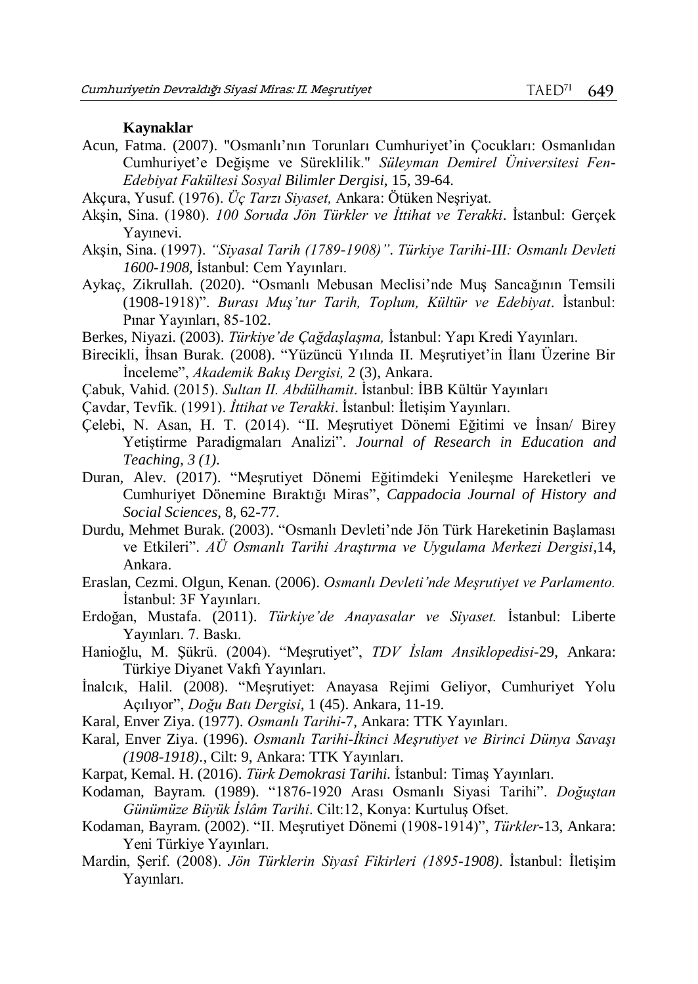#### **Kaynaklar**

- Acun, Fatma. (2007). "Osmanlı'nın Torunları Cumhuriyet'in Çocukları: Osmanlıdan Cumhuriyet'e Değişme ve Süreklilik." *Süleyman Demirel Üniversitesi Fen-Edebiyat Fakültesi Sosyal Bilimler Dergisi*, 15, 39-64.
- Akçura, Yusuf. (1976). *Üç Tarzı Siyaset,* Ankara: Ötüken Neşriyat.
- Akşin, Sina. (1980). *100 Soruda Jön Türkler ve İttihat ve Terakki*. İstanbul: Gerçek Yayınevi.
- Akşin, Sina. (1997). *"Siyasal Tarih (1789-1908)"*. *Türkiye Tarihi-III: Osmanlı Devleti 1600-1908,* İstanbul: Cem Yayınları.
- Aykaç, Zikrullah. (2020). "Osmanlı Mebusan Meclisi'nde Muş Sancağının Temsili (1908-1918)". *Burası Muş'tur Tarih, Toplum, Kültür ve Edebiyat*. İstanbul: Pınar Yayınları, 85-102.
- Berkes, Niyazi. (2003). *Türkiye'de Çağdaşlaşma,* İstanbul: Yapı Kredi Yayınları.
- Birecikli, İhsan Burak. (2008). "Yüzüncü Yılında II. Meşrutiyet'in İlanı Üzerine Bir İnceleme", *Akademik Bakış Dergisi,* 2 (3), Ankara.
- Çabuk, Vahid. (2015). *Sultan II. Abdülhamit*. İstanbul: İBB Kültür Yayınları
- Çavdar, Tevfik. (1991). *İttihat ve Terakki*. İstanbul: İletişim Yayınları.
- Çelebi, N. Asan, H. T. (2014). "II. Meşrutiyet Dönemi Eğitimi ve İnsan/ Birey Yetiştirme Paradigmaları Analizi". *Journal of Research in Education and Teaching, 3 (1).*
- Duran, Alev. (2017). "Meşrutiyet Dönemi Eğitimdeki Yenileşme Hareketleri ve Cumhuriyet Dönemine Bıraktığı Miras", *Cappadocia Journal of History and Social Sciences*, 8, 62-77.
- Durdu, Mehmet Burak. (2003). "Osmanlı Devleti'nde Jön Türk Hareketinin Başlaması ve Etkileri". *AÜ Osmanlı Tarihi Araştırma ve Uygulama Merkezi Dergisi*,14, Ankara.
- Eraslan, Cezmi. Olgun, Kenan. (2006). *Osmanlı Devleti'nde Meşrutiyet ve Parlamento.*  İstanbul: 3F Yayınları.
- Erdoğan, Mustafa. (2011). *Türkiye'de Anayasalar ve Siyaset.* İstanbul: Liberte Yayınları. 7. Baskı.
- Hanioğlu, M. Şükrü. (2004). "Meşrutiyet", *TDV İslam Ansiklopedisi-*29, Ankara: Türkiye Diyanet Vakfı Yayınları.
- İnalcık, Halil. (2008). "Meşrutiyet: Anayasa Rejimi Geliyor, Cumhuriyet Yolu Açılıyor", *Doğu Batı Dergisi*, 1 (45). Ankara, 11-19.
- Karal, Enver Ziya. (1977). *Osmanlı Tarihi-*7, Ankara: TTK Yayınları.
- Karal, Enver Ziya. (1996). *Osmanlı Tarihi-İkinci Meşrutiyet ve Birinci Dünya Savaşı (1908-1918).,* Cilt: 9, Ankara: TTK Yayınları.
- Karpat, Kemal. H. (2016). *Türk Demokrasi Tarihi.* İstanbul: Timaş Yayınları.
- Kodaman, Bayram. (1989). "1876-1920 Arası Osmanlı Siyasi Tarihi". *Doğuştan Günümüze Büyük İslâm Tarihi*. Cilt:12, Konya: Kurtuluş Ofset.
- Kodaman, Bayram. (2002). "II. Meşrutiyet Dönemi (1908-1914)", *Türkler-*13, Ankara: Yeni Türkiye Yayınları.
- Mardin, Şerif. (2008). *Jön Türklerin Siyasî Fikirleri (1895-1908)*. İstanbul: İletişim Yayınları.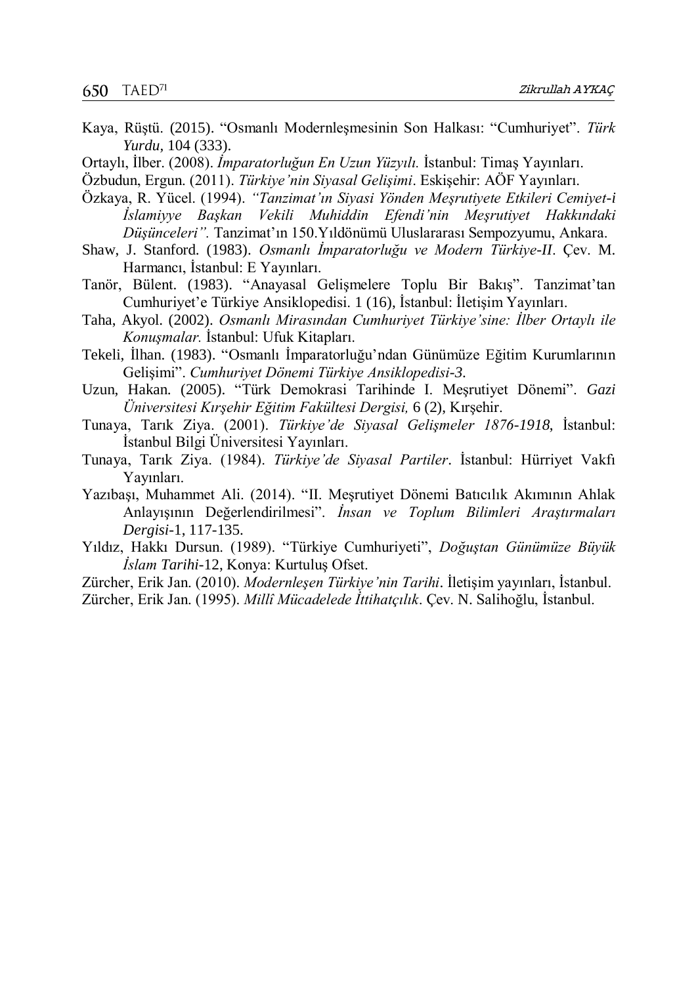- Kaya, Rüştü. (2015). "Osmanlı Modernleşmesinin Son Halkası: "Cumhuriyet". *Türk Yurdu,* 104 (333).
- Ortaylı, İlber. (2008). *İmparatorluğun En Uzun Yüzyılı.* İstanbul: Timaş Yayınları.

Özbudun, Ergun. (2011). *Türkiye'nin Siyasal Gelişimi*. Eskişehir: AÖF Yayınları.

- Özkaya, R. Yücel. (1994). *"Tanzimat'ın Siyasi Yönden Meşrutiyete Etkileri Cemiyet-i İslamiyye Başkan Vekili Muhiddin Efendi'nin Meşrutiyet Hakkındaki Düşünceleri".* Tanzimat'ın 150.Yıldönümü Uluslararası Sempozyumu, Ankara.
- Shaw, J. Stanford. (1983). *Osmanlı İmparatorluğu ve Modern Türkiye-II*. Çev. M. Harmancı, İstanbul: E Yayınları.
- Tanör, Bülent. (1983). "Anayasal Gelişmelere Toplu Bir Bakış". Tanzimat'tan Cumhuriyet'e Türkiye Ansiklopedisi. 1 (16), İstanbul: İletişim Yayınları.
- Taha, Akyol. (2002). *Osmanlı Mirasından Cumhuriyet Türkiye'sine: İlber Ortaylı ile Konuşmalar.* İstanbul: Ufuk Kitapları.
- Tekeli, İlhan. (1983). "Osmanlı İmparatorluğu'ndan Günümüze Eğitim Kurumlarının Gelişimi". *Cumhuriyet Dönemi Türkiye Ansiklopedisi-3*.
- Uzun, Hakan. (2005). "Türk Demokrasi Tarihinde I. Meşrutiyet Dönemi". *Gazi Üniversitesi Kırşehir Eğitim Fakültesi Dergisi,* 6 (2), Kırşehir.
- Tunaya, Tarık Ziya. (2001). *Türkiye'de Siyasal Gelişmeler 1876-1918*, İstanbul: İstanbul Bilgi Üniversitesi Yayınları.
- Tunaya, Tarık Ziya. (1984). *Türkiye'de Siyasal Partiler*. İstanbul: Hürriyet Vakfı Yayınları.
- Yazıbaşı, Muhammet Ali. (2014). "II. Meşrutiyet Dönemi Batıcılık Akımının Ahlak Anlayışının Değerlendirilmesi". *İnsan ve Toplum Bilimleri Araştırmaları Dergisi-*1, 117-135.
- Yıldız, Hakkı Dursun. (1989). "Türkiye Cumhuriyeti", *Doğuştan Günümüze Büyük İslam Tarihi*-12, Konya: Kurtuluş Ofset.
- Zürcher, Erik Jan. (2010). *Modernleşen Türkiye'nin Tarihi*. İletişim yayınları, İstanbul.

Zürcher, Erik Jan. (1995). *Millî Mücadelede İttihatçılık*. Çev. N. Salihoğlu, İstanbul.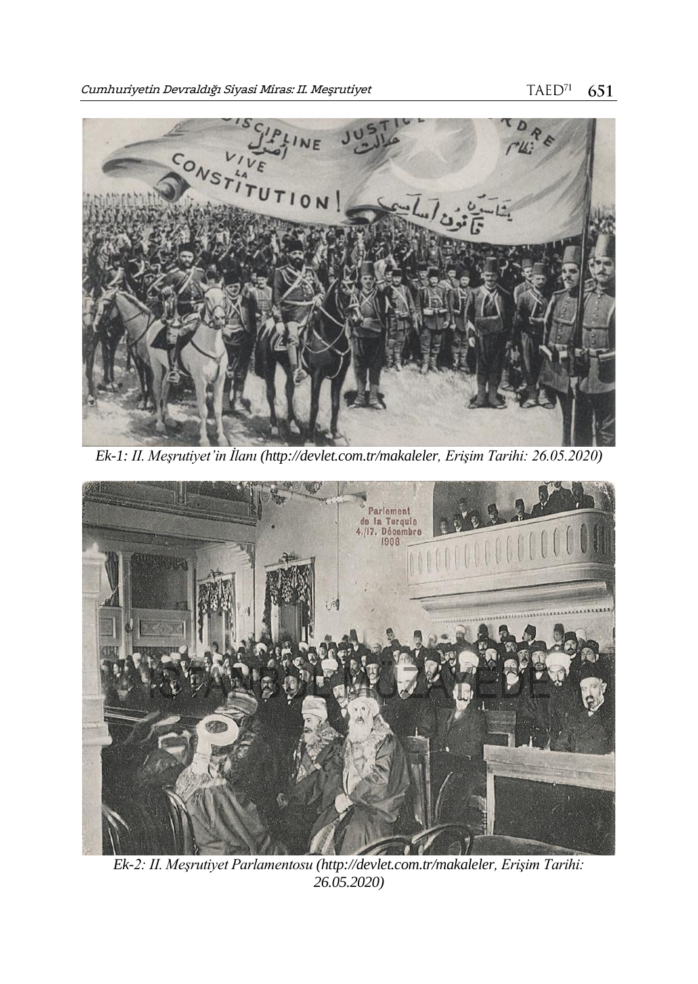

*Ek-1: II. Meşrutiyet'in İlanı [\(http://devlet.com.tr/makaleler,](http://devlet.com.tr/makaleler) Erişim Tarihi: 26.05.2020)*



*Ek-2: II. Meşrutiyet Parlamentosu [\(http://devlet.com.tr/makaleler,](http://devlet.com.tr/makaleler) Erişim Tarihi: 26.05.2020)*